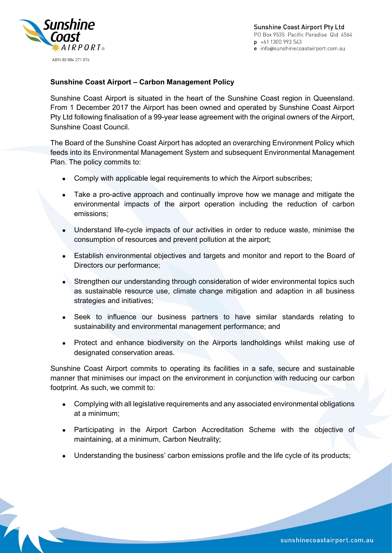

**Sunshine Coast Airport Pty Ltd** PO Box 9535 Pacific Paradise Qld 4564  $p + 611300993543$ e info@sunshinecoastairport.com.au

## **Sunshine Coast Airport – Carbon Management Policy**

Sunshine Coast Airport is situated in the heart of the Sunshine Coast region in Queensland. From 1 December 2017 the Airport has been owned and operated by Sunshine Coast Airport Pty Ltd following finalisation of a 99-year lease agreement with the original owners of the Airport, Sunshine Coast Council.

The Board of the Sunshine Coast Airport has adopted an overarching Environment Policy which feeds into its Environmental Management System and subsequent Environmental Management Plan. The policy commits to:

- Comply with applicable legal requirements to which the Airport subscribes;
- Take a pro-active approach and continually improve how we manage and mitigate the environmental impacts of the airport operation including the reduction of carbon emissions;
- Understand life-cycle impacts of our activities in order to reduce waste, minimise the consumption of resources and prevent pollution at the airport;
- Establish environmental objectives and targets and monitor and report to the Board of Directors our performance;
- Strengthen our understanding through consideration of wider environmental topics such as sustainable resource use, climate change mitigation and adaption in all business strategies and initiatives;
- Seek to influence our business partners to have similar standards relating to sustainability and environmental management performance; and
- Protect and enhance biodiversity on the Airports landholdings whilst making use of designated conservation areas.

Sunshine Coast Airport commits to operating its facilities in a safe, secure and sustainable manner that minimises our impact on the environment in conjunction with reducing our carbon footprint. As such, we commit to:

- Complying with all legislative requirements and any associated environmental obligations at a minimum;
- Participating in the Airport Carbon Accreditation Scheme with the objective of maintaining, at a minimum, Carbon Neutrality;
- Understanding the business' carbon emissions profile and the life cycle of its products;